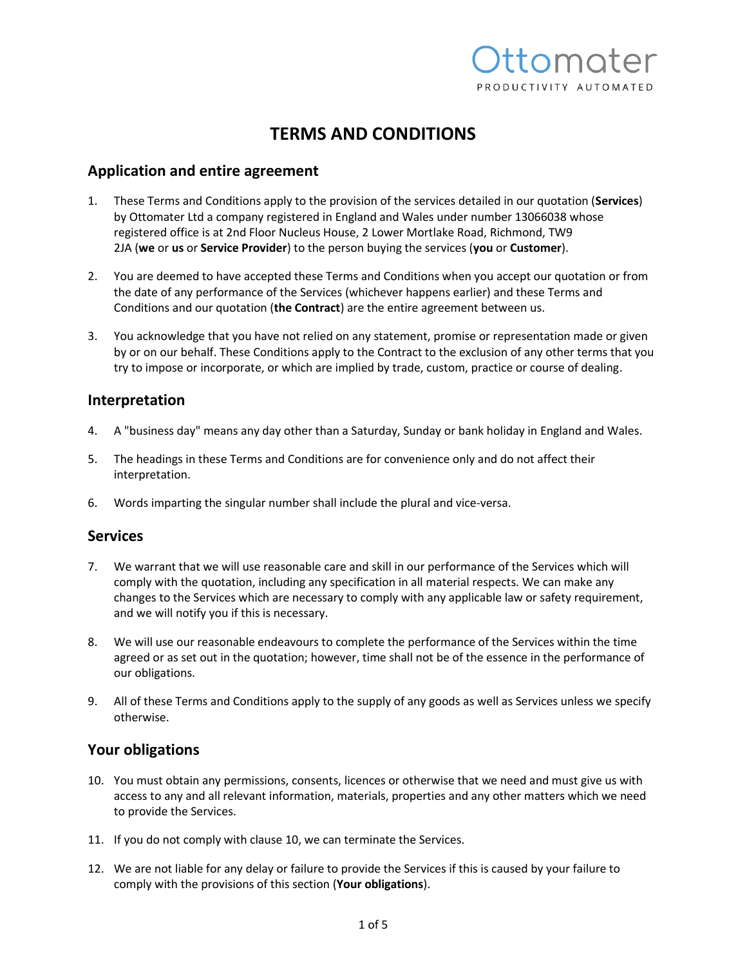

# **TERMS AND CONDITIONS**

# **Application and entire agreement**

- 1. These Terms and Conditions apply to the provision of the services detailed in our quotation (**Services**) by Ottomater Ltd a company registered in England and Wales under number 13066038 whose registered office is at 2nd Floor Nucleus House, 2 Lower Mortlake Road, Richmond, TW9 2JA (**we** or **us** or **Service Provider**) to the person buying the services (**you** or **Customer**).
- 2. You are deemed to have accepted these Terms and Conditions when you accept our quotation or from the date of any performance of the Services (whichever happens earlier) and these Terms and Conditions and our quotation (**the Contract**) are the entire agreement between us.
- 3. You acknowledge that you have not relied on any statement, promise or representation made or given by or on our behalf. These Conditions apply to the Contract to the exclusion of any other terms that you try to impose or incorporate, or which are implied by trade, custom, practice or course of dealing.

#### **Interpretation**

- 4. A "business day" means any day other than a Saturday, Sunday or bank holiday in England and Wales.
- 5. The headings in these Terms and Conditions are for convenience only and do not affect their interpretation.
- 6. Words imparting the singular number shall include the plural and vice-versa.

#### **Services**

- 7. We warrant that we will use reasonable care and skill in our performance of the Services which will comply with the quotation, including any specification in all material respects. We can make any changes to the Services which are necessary to comply with any applicable law or safety requirement, and we will notify you if this is necessary.
- 8. We will use our reasonable endeavours to complete the performance of the Services within the time agreed or as set out in the quotation; however, time shall not be of the essence in the performance of our obligations.
- 9. All of these Terms and Conditions apply to the supply of any goods as well as Services unless we specify otherwise.

# **Your obligations**

- 10. You must obtain any permissions, consents, licences or otherwise that we need and must give us with access to any and all relevant information, materials, properties and any other matters which we need to provide the Services.
- 11. If you do not comply with clause 10, we can terminate the Services.
- 12. We are not liable for any delay or failure to provide the Services if this is caused by your failure to comply with the provisions of this section (**Your obligations**).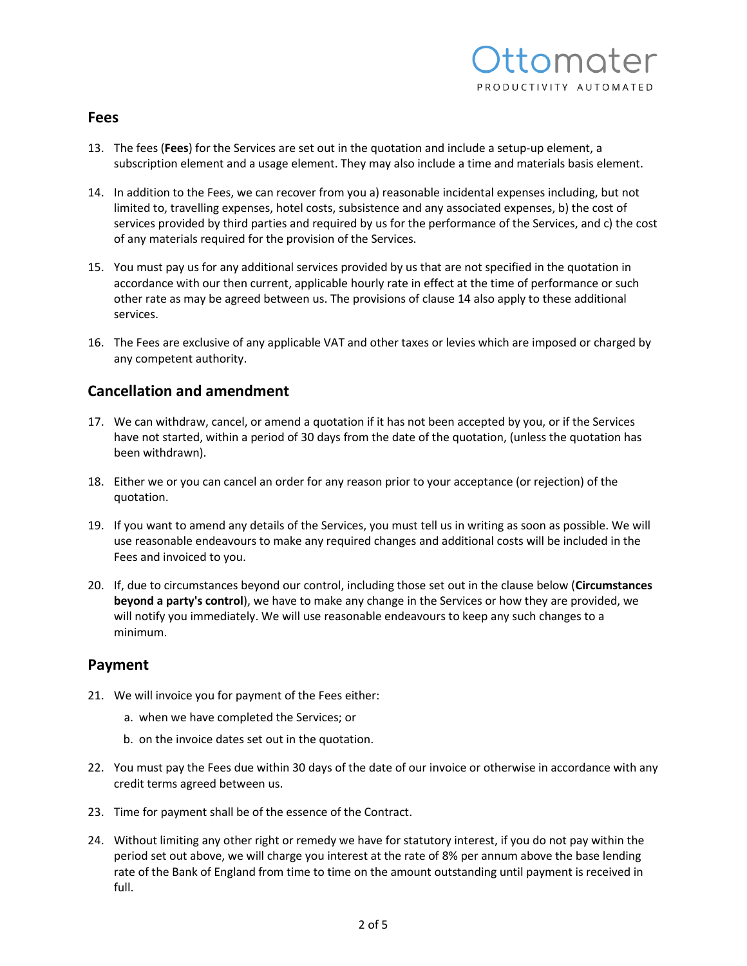

#### **Fees**

- 13. The fees (**Fees**) for the Services are set out in the quotation and include a setup-up element, a subscription element and a usage element. They may also include a time and materials basis element.
- 14. In addition to the Fees, we can recover from you a) reasonable incidental expenses including, but not limited to, travelling expenses, hotel costs, subsistence and any associated expenses, b) the cost of services provided by third parties and required by us for the performance of the Services, and c) the cost of any materials required for the provision of the Services.
- 15. You must pay us for any additional services provided by us that are not specified in the quotation in accordance with our then current, applicable hourly rate in effect at the time of performance or such other rate as may be agreed between us. The provisions of clause 14 also apply to these additional services.
- 16. The Fees are exclusive of any applicable VAT and other taxes or levies which are imposed or charged by any competent authority.

## **Cancellation and amendment**

- 17. We can withdraw, cancel, or amend a quotation if it has not been accepted by you, or if the Services have not started, within a period of 30 days from the date of the quotation, (unless the quotation has been withdrawn).
- 18. Either we or you can cancel an order for any reason prior to your acceptance (or rejection) of the quotation.
- 19. If you want to amend any details of the Services, you must tell us in writing as soon as possible. We will use reasonable endeavours to make any required changes and additional costs will be included in the Fees and invoiced to you.
- 20. If, due to circumstances beyond our control, including those set out in the clause below (**Circumstances beyond a party's control**), we have to make any change in the Services or how they are provided, we will notify you immediately. We will use reasonable endeavours to keep any such changes to a minimum.

#### **Payment**

- 21. We will invoice you for payment of the Fees either:
	- a. when we have completed the Services; or
	- b. on the invoice dates set out in the quotation.
- 22. You must pay the Fees due within 30 days of the date of our invoice or otherwise in accordance with any credit terms agreed between us.
- 23. Time for payment shall be of the essence of the Contract.
- 24. Without limiting any other right or remedy we have for statutory interest, if you do not pay within the period set out above, we will charge you interest at the rate of 8% per annum above the base lending rate of the Bank of England from time to time on the amount outstanding until payment is received in full.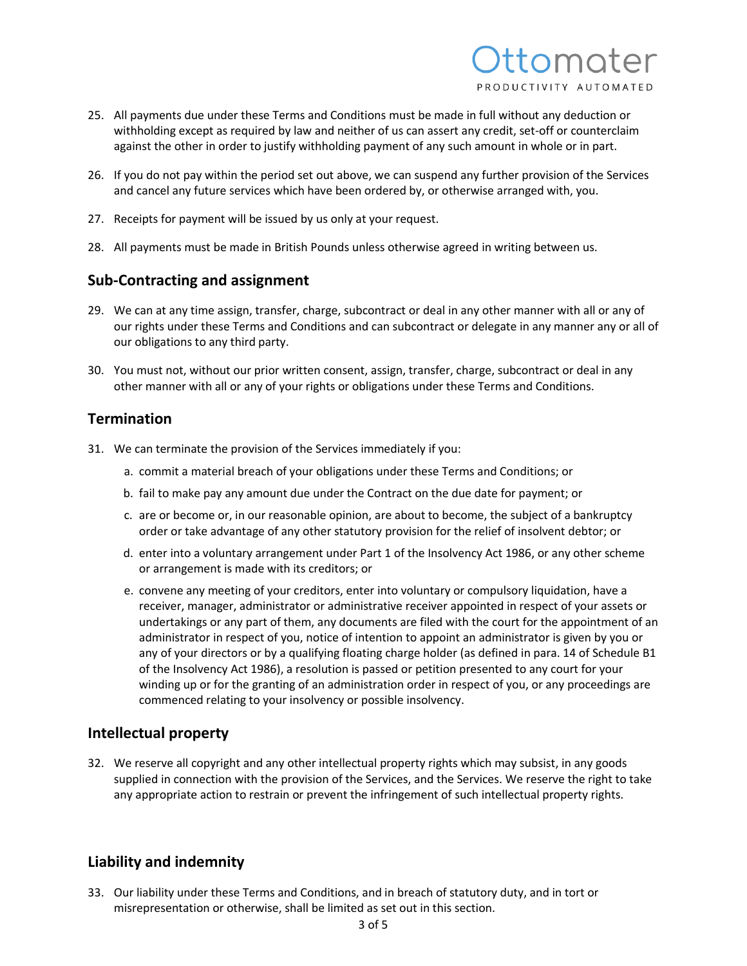

- 25. All payments due under these Terms and Conditions must be made in full without any deduction or withholding except as required by law and neither of us can assert any credit, set-off or counterclaim against the other in order to justify withholding payment of any such amount in whole or in part.
- 26. If you do not pay within the period set out above, we can suspend any further provision of the Services and cancel any future services which have been ordered by, or otherwise arranged with, you.
- 27. Receipts for payment will be issued by us only at your request.
- 28. All payments must be made in British Pounds unless otherwise agreed in writing between us.

# **Sub-Contracting and assignment**

- 29. We can at any time assign, transfer, charge, subcontract or deal in any other manner with all or any of our rights under these Terms and Conditions and can subcontract or delegate in any manner any or all of our obligations to any third party.
- 30. You must not, without our prior written consent, assign, transfer, charge, subcontract or deal in any other manner with all or any of your rights or obligations under these Terms and Conditions.

## **Termination**

- 31. We can terminate the provision of the Services immediately if you:
	- a. commit a material breach of your obligations under these Terms and Conditions; or
	- b. fail to make pay any amount due under the Contract on the due date for payment; or
	- c. are or become or, in our reasonable opinion, are about to become, the subject of a bankruptcy order or take advantage of any other statutory provision for the relief of insolvent debtor; or
	- d. enter into a voluntary arrangement under Part 1 of the Insolvency Act 1986, or any other scheme or arrangement is made with its creditors; or
	- e. convene any meeting of your creditors, enter into voluntary or compulsory liquidation, have a receiver, manager, administrator or administrative receiver appointed in respect of your assets or undertakings or any part of them, any documents are filed with the court for the appointment of an administrator in respect of you, notice of intention to appoint an administrator is given by you or any of your directors or by a qualifying floating charge holder (as defined in para. 14 of Schedule B1 of the Insolvency Act 1986), a resolution is passed or petition presented to any court for your winding up or for the granting of an administration order in respect of you, or any proceedings are commenced relating to your insolvency or possible insolvency.

# **Intellectual property**

32. We reserve all copyright and any other intellectual property rights which may subsist, in any goods supplied in connection with the provision of the Services, and the Services. We reserve the right to take any appropriate action to restrain or prevent the infringement of such intellectual property rights.

# **Liability and indemnity**

33. Our liability under these Terms and Conditions, and in breach of statutory duty, and in tort or misrepresentation or otherwise, shall be limited as set out in this section.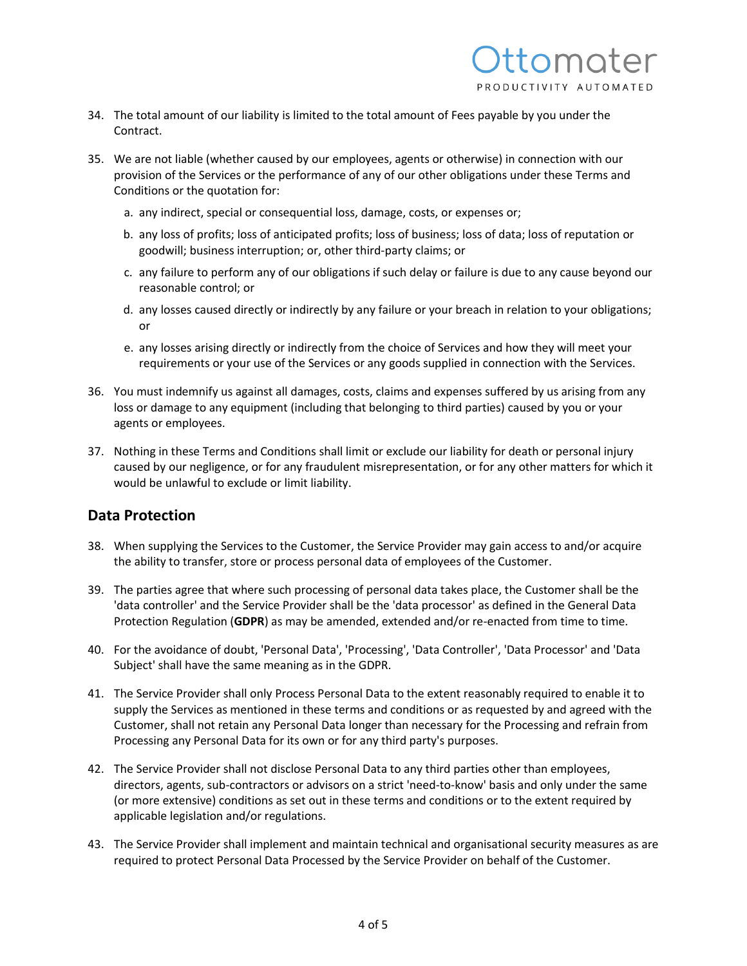

- 34. The total amount of our liability is limited to the total amount of Fees payable by you under the Contract.
- 35. We are not liable (whether caused by our employees, agents or otherwise) in connection with our provision of the Services or the performance of any of our other obligations under these Terms and Conditions or the quotation for:
	- a. any indirect, special or consequential loss, damage, costs, or expenses or;
	- b. any loss of profits; loss of anticipated profits; loss of business; loss of data; loss of reputation or goodwill; business interruption; or, other third-party claims; or
	- c. any failure to perform any of our obligations if such delay or failure is due to any cause beyond our reasonable control; or
	- d. any losses caused directly or indirectly by any failure or your breach in relation to your obligations; or
	- e. any losses arising directly or indirectly from the choice of Services and how they will meet your requirements or your use of the Services or any goods supplied in connection with the Services.
- 36. You must indemnify us against all damages, costs, claims and expenses suffered by us arising from any loss or damage to any equipment (including that belonging to third parties) caused by you or your agents or employees.
- 37. Nothing in these Terms and Conditions shall limit or exclude our liability for death or personal injury caused by our negligence, or for any fraudulent misrepresentation, or for any other matters for which it would be unlawful to exclude or limit liability.

#### **Data Protection**

- 38. When supplying the Services to the Customer, the Service Provider may gain access to and/or acquire the ability to transfer, store or process personal data of employees of the Customer.
- 39. The parties agree that where such processing of personal data takes place, the Customer shall be the 'data controller' and the Service Provider shall be the 'data processor' as defined in the General Data Protection Regulation (**GDPR**) as may be amended, extended and/or re-enacted from time to time.
- 40. For the avoidance of doubt, 'Personal Data', 'Processing', 'Data Controller', 'Data Processor' and 'Data Subject' shall have the same meaning as in the GDPR.
- 41. The Service Provider shall only Process Personal Data to the extent reasonably required to enable it to supply the Services as mentioned in these terms and conditions or as requested by and agreed with the Customer, shall not retain any Personal Data longer than necessary for the Processing and refrain from Processing any Personal Data for its own or for any third party's purposes.
- 42. The Service Provider shall not disclose Personal Data to any third parties other than employees, directors, agents, sub-contractors or advisors on a strict 'need-to-know' basis and only under the same (or more extensive) conditions as set out in these terms and conditions or to the extent required by applicable legislation and/or regulations.
- 43. The Service Provider shall implement and maintain technical and organisational security measures as are required to protect Personal Data Processed by the Service Provider on behalf of the Customer.